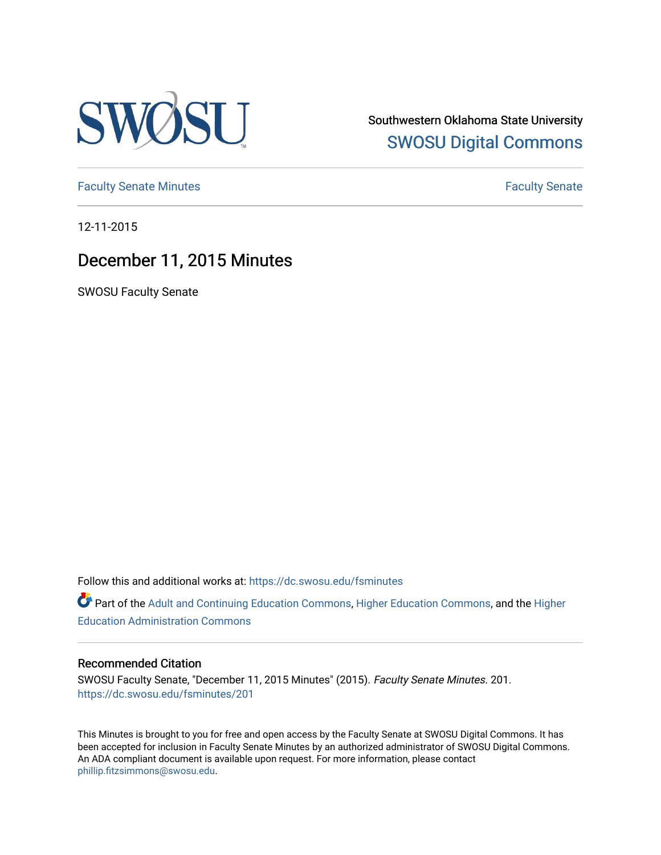

Southwestern Oklahoma State University [SWOSU Digital Commons](https://dc.swosu.edu/) 

[Faculty Senate Minutes](https://dc.swosu.edu/fsminutes) **Faculty** Senate Minutes

12-11-2015

# December 11, 2015 Minutes

SWOSU Faculty Senate

Follow this and additional works at: [https://dc.swosu.edu/fsminutes](https://dc.swosu.edu/fsminutes?utm_source=dc.swosu.edu%2Ffsminutes%2F201&utm_medium=PDF&utm_campaign=PDFCoverPages) 

Part of the [Adult and Continuing Education Commons,](http://network.bepress.com/hgg/discipline/1375?utm_source=dc.swosu.edu%2Ffsminutes%2F201&utm_medium=PDF&utm_campaign=PDFCoverPages) [Higher Education Commons,](http://network.bepress.com/hgg/discipline/1245?utm_source=dc.swosu.edu%2Ffsminutes%2F201&utm_medium=PDF&utm_campaign=PDFCoverPages) and the [Higher](http://network.bepress.com/hgg/discipline/791?utm_source=dc.swosu.edu%2Ffsminutes%2F201&utm_medium=PDF&utm_campaign=PDFCoverPages) [Education Administration Commons](http://network.bepress.com/hgg/discipline/791?utm_source=dc.swosu.edu%2Ffsminutes%2F201&utm_medium=PDF&utm_campaign=PDFCoverPages) 

#### Recommended Citation

SWOSU Faculty Senate, "December 11, 2015 Minutes" (2015). Faculty Senate Minutes. 201. [https://dc.swosu.edu/fsminutes/201](https://dc.swosu.edu/fsminutes/201?utm_source=dc.swosu.edu%2Ffsminutes%2F201&utm_medium=PDF&utm_campaign=PDFCoverPages) 

This Minutes is brought to you for free and open access by the Faculty Senate at SWOSU Digital Commons. It has been accepted for inclusion in Faculty Senate Minutes by an authorized administrator of SWOSU Digital Commons. An ADA compliant document is available upon request. For more information, please contact [phillip.fitzsimmons@swosu.edu](mailto:phillip.fitzsimmons@swosu.edu).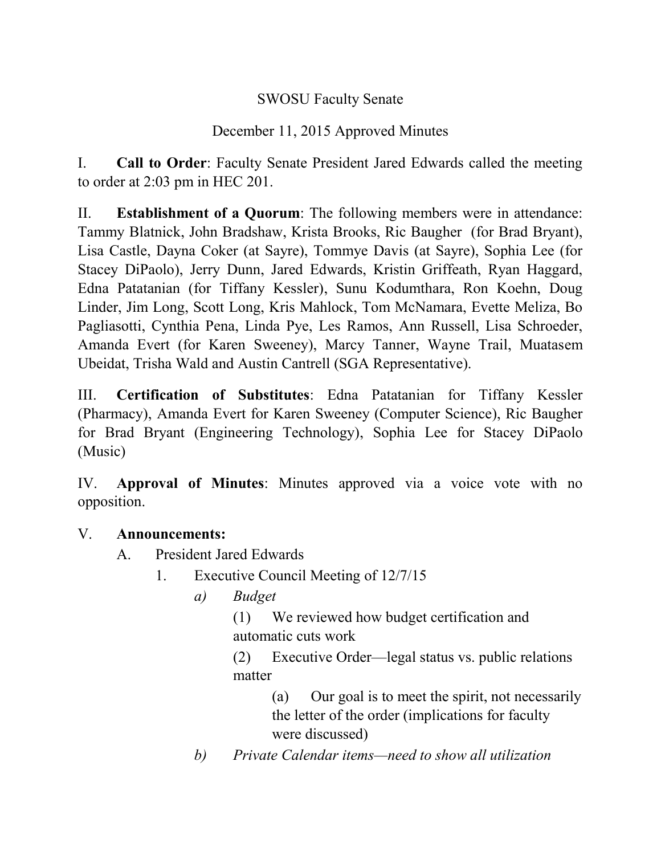## SWOSU Faculty Senate

## December 11, 2015 Approved Minutes

I. **Call to Order**: Faculty Senate President Jared Edwards called the meeting to order at 2:03 pm in HEC 201.

II. **Establishment of a Quorum**: The following members were in attendance: Tammy Blatnick, John Bradshaw, Krista Brooks, Ric Baugher (for Brad Bryant), Lisa Castle, Dayna Coker (at Sayre), Tommye Davis (at Sayre), Sophia Lee (for Stacey DiPaolo), Jerry Dunn, Jared Edwards, Kristin Griffeath, Ryan Haggard, Edna Patatanian (for Tiffany Kessler), Sunu Kodumthara, Ron Koehn, Doug Linder, Jim Long, Scott Long, Kris Mahlock, Tom McNamara, Evette Meliza, Bo Pagliasotti, Cynthia Pena, Linda Pye, Les Ramos, Ann Russell, Lisa Schroeder, Amanda Evert (for Karen Sweeney), Marcy Tanner, Wayne Trail, Muatasem Ubeidat, Trisha Wald and Austin Cantrell (SGA Representative).

III. **Certification of Substitutes**: Edna Patatanian for Tiffany Kessler (Pharmacy), Amanda Evert for Karen Sweeney (Computer Science), Ric Baugher for Brad Bryant (Engineering Technology), Sophia Lee for Stacey DiPaolo (Music)

IV. **Approval of Minutes**: Minutes approved via a voice vote with no opposition.

#### V. **Announcements:**

- A. President Jared Edwards
	- 1. Executive Council Meeting of 12/7/15
		- *a) Budget*
			- (1) We reviewed how budget certification and automatic cuts work

(2) Executive Order—legal status vs. public relations matter

> (a) Our goal is to meet the spirit, not necessarily the letter of the order (implications for faculty were discussed)

*b) Private Calendar items—need to show all utilization*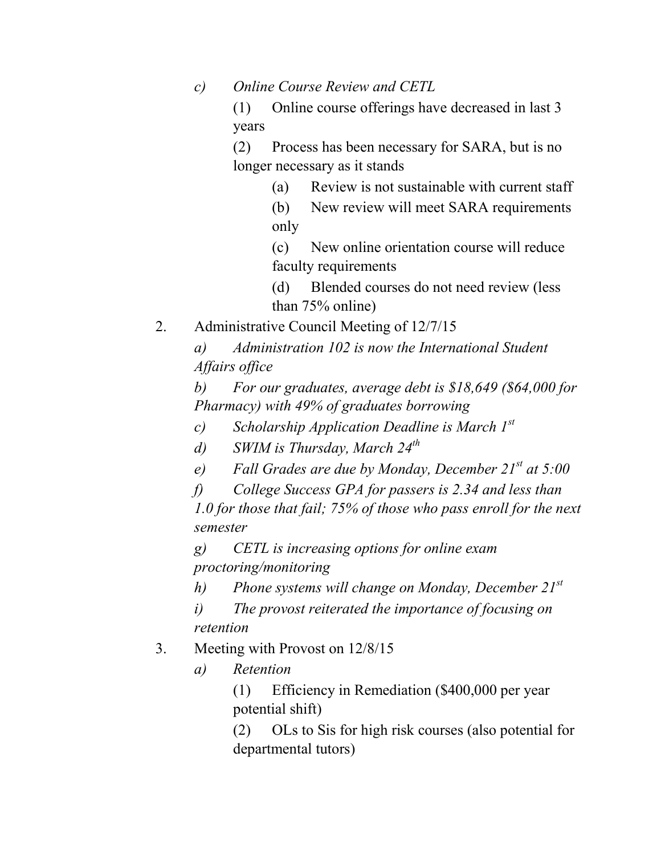*c) Online Course Review and CETL*

(1) Online course offerings have decreased in last 3 years

(2) Process has been necessary for SARA, but is no longer necessary as it stands

(a) Review is not sustainable with current staff

(b) New review will meet SARA requirements only

(c) New online orientation course will reduce faculty requirements

(d) Blended courses do not need review (less than 75% online)

2. Administrative Council Meeting of 12/7/15

*a) Administration 102 is now the International Student Affairs office*

*b) For our graduates, average debt is \$18,649 (\$64,000 for Pharmacy) with 49% of graduates borrowing* 

*c) Scholarship Application Deadline is March 1st*

*d) SWIM is Thursday, March 24th*

*e) Fall Grades are due by Monday, December 21st at 5:00*

*f) College Success GPA for passers is 2.34 and less than 1.0 for those that fail; 75% of those who pass enroll for the next semester*

*g) CETL is increasing options for online exam proctoring/monitoring*

*h) Phone systems will change on Monday, December 21st*

*i) The provost reiterated the importance of focusing on retention*

- 3. Meeting with Provost on 12/8/15
	- *a) Retention*

(1) Efficiency in Remediation (\$400,000 per year potential shift)

(2) OLs to Sis for high risk courses (also potential for departmental tutors)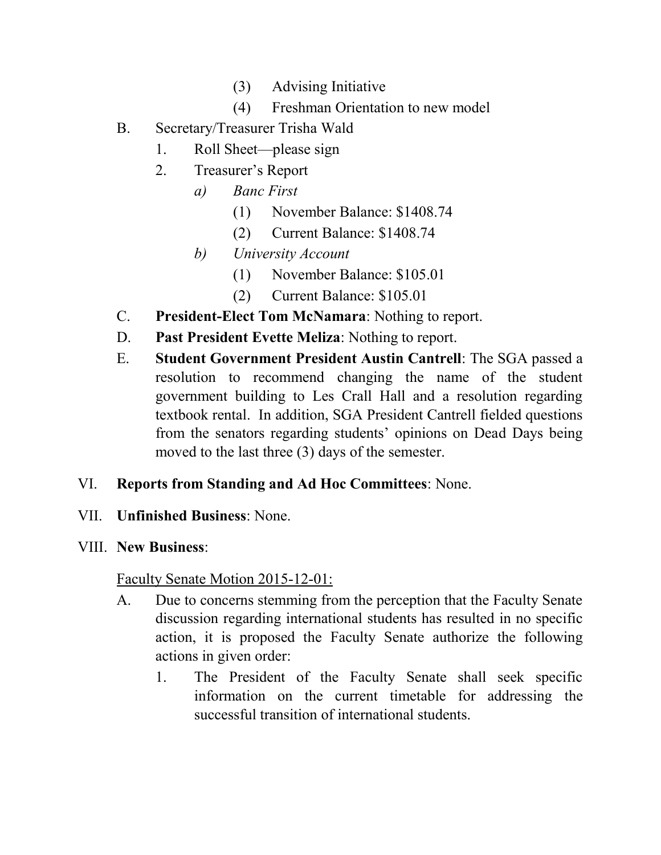- (3) Advising Initiative
- (4) Freshman Orientation to new model
- B. Secretary/Treasurer Trisha Wald
	- 1. Roll Sheet—please sign
	- 2. Treasurer's Report
		- *a) Banc First*
			- (1) November Balance: \$1408.74
			- (2) Current Balance: \$1408.74
		- *b) University Account*
			- (1) November Balance: \$105.01
			- (2) Current Balance: \$105.01
- C. **President-Elect Tom McNamara**: Nothing to report.
- D. **Past President Evette Meliza**: Nothing to report.
- E. **Student Government President Austin Cantrell**: The SGA passed a resolution to recommend changing the name of the student government building to Les Crall Hall and a resolution regarding textbook rental. In addition, SGA President Cantrell fielded questions from the senators regarding students' opinions on Dead Days being moved to the last three (3) days of the semester.
- VI. **Reports from Standing and Ad Hoc Committees**: None.
- VII. **Unfinished Business**: None.
- VIII. **New Business**:

Faculty Senate Motion 2015-12-01:

- A. Due to concerns stemming from the perception that the Faculty Senate discussion regarding international students has resulted in no specific action, it is proposed the Faculty Senate authorize the following actions in given order:
	- 1. The President of the Faculty Senate shall seek specific information on the current timetable for addressing the successful transition of international students.